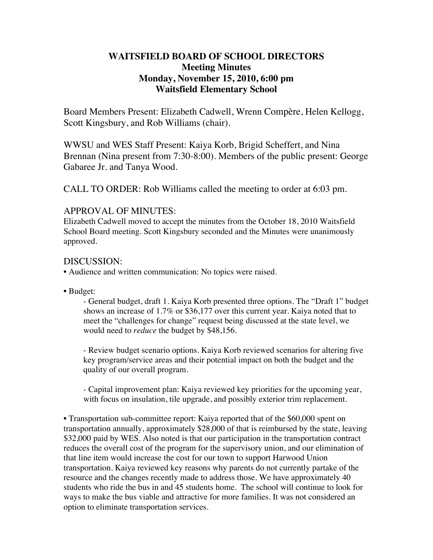# **WAITSFIELD BOARD OF SCHOOL DIRECTORS Meeting Minutes Monday, November 15, 2010, 6:00 pm Waitsfield Elementary School**

Board Members Present: Elizabeth Cadwell, Wrenn Compère, Helen Kellogg, Scott Kingsbury, and Rob Williams (chair).

WWSU and WES Staff Present: Kaiya Korb, Brigid Scheffert, and Nina Brennan (Nina present from 7:30-8:00). Members of the public present: George Gabaree Jr. and Tanya Wood.

CALL TO ORDER: Rob Williams called the meeting to order at 6:03 pm.

# APPROVAL OF MINUTES:

Elizabeth Cadwell moved to accept the minutes from the October 18, 2010 Waitsfield School Board meeting. Scott Kingsbury seconded and the Minutes were unanimously approved.

# DISCUSSION:

- Audience and written communication: No topics were raised.
- Budget:

- General budget, draft 1. Kaiya Korb presented three options. The "Draft 1" budget shows an increase of 1.7% or \$36,177 over this current year. Kaiya noted that to meet the "challenges for change" request being discussed at the state level, we would need to *reduce* the budget by \$48,156.

- Review budget scenario options. Kaiya Korb reviewed scenarios for altering five key program/service areas and their potential impact on both the budget and the quality of our overall program.

- Capital improvement plan: Kaiya reviewed key priorities for the upcoming year, with focus on insulation, tile upgrade, and possibly exterior trim replacement.

• Transportation sub-committee report: Kaiya reported that of the \$60,000 spent on transportation annually, approximately \$28,000 of that is reimbursed by the state, leaving \$32,000 paid by WES. Also noted is that our participation in the transportation contract reduces the overall cost of the program for the supervisory union, and our elimination of that line item would increase the cost for our town to support Harwood Union transportation. Kaiya reviewed key reasons why parents do not currently partake of the resource and the changes recently made to address those. We have approximately 40 students who ride the bus in and 45 students home. The school will continue to look for ways to make the bus viable and attractive for more families. It was not considered an option to eliminate transportation services.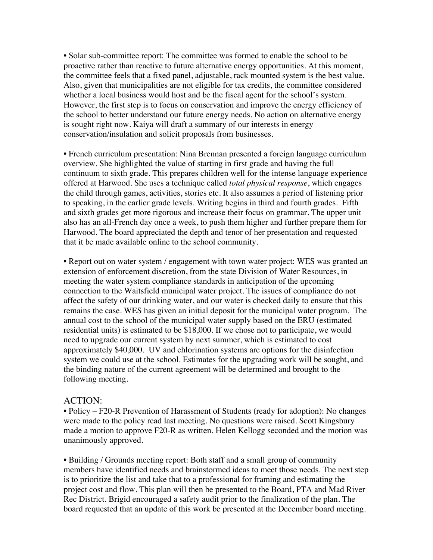• Solar sub-committee report: The committee was formed to enable the school to be proactive rather than reactive to future alternative energy opportunities. At this moment, the committee feels that a fixed panel, adjustable, rack mounted system is the best value. Also, given that municipalities are not eligible for tax credits, the committee considered whether a local business would host and be the fiscal agent for the school's system. However, the first step is to focus on conservation and improve the energy efficiency of the school to better understand our future energy needs. No action on alternative energy is sought right now. Kaiya will draft a summary of our interests in energy conservation/insulation and solicit proposals from businesses.

• French curriculum presentation: Nina Brennan presented a foreign language curriculum overview. She highlighted the value of starting in first grade and having the full continuum to sixth grade. This prepares children well for the intense language experience offered at Harwood. She uses a technique called *total physical response*, which engages the child through games, activities, stories etc. It also assumes a period of listening prior to speaking, in the earlier grade levels. Writing begins in third and fourth grades. Fifth and sixth grades get more rigorous and increase their focus on grammar. The upper unit also has an all-French day once a week, to push them higher and further prepare them for Harwood. The board appreciated the depth and tenor of her presentation and requested that it be made available online to the school community.

• Report out on water system / engagement with town water project: WES was granted an extension of enforcement discretion, from the state Division of Water Resources, in meeting the water system compliance standards in anticipation of the upcoming connection to the Waitsfield municipal water project. The issues of compliance do not affect the safety of our drinking water, and our water is checked daily to ensure that this remains the case. WES has given an initial deposit for the municipal water program. The annual cost to the school of the municipal water supply based on the ERU (estimated residential units) is estimated to be \$18,000. If we chose not to participate, we would need to upgrade our current system by next summer, which is estimated to cost approximately \$40,000. UV and chlorination systems are options for the disinfection system we could use at the school. Estimates for the upgrading work will be sought, and the binding nature of the current agreement will be determined and brought to the following meeting.

#### ACTION:

• Policy – F20-R Prevention of Harassment of Students (ready for adoption): No changes were made to the policy read last meeting. No questions were raised. Scott Kingsbury made a motion to approve F20-R as written. Helen Kellogg seconded and the motion was unanimously approved.

• Building / Grounds meeting report: Both staff and a small group of community members have identified needs and brainstormed ideas to meet those needs. The next step is to prioritize the list and take that to a professional for framing and estimating the project cost and flow. This plan will then be presented to the Board, PTA and Mad River Rec District. Brigid encouraged a safety audit prior to the finalization of the plan. The board requested that an update of this work be presented at the December board meeting.